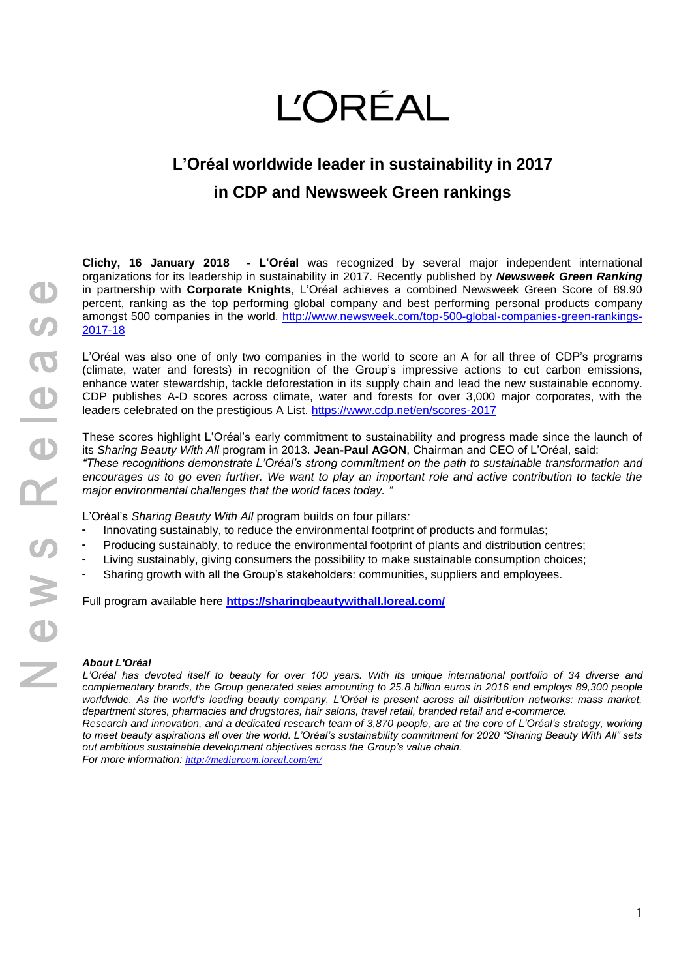## **L'ORÉAL**

## **L'Oréal worldwide leader in sustainability in 2017 in CDP and Newsweek Green rankings**

**Clichy, 16 January 2018 - L'Oréal** was recognized by several major independent international organizations for its leadership in sustainability in 2017. Recently published by *Newsweek Green Ranking* in partnership with **Corporate Knights**, L'Oréal achieves a combined Newsweek Green Score of 89.90 percent, ranking as the top performing global company and best performing personal products company amongst 500 companies in the world. [http://www.newsweek.com/top-500-global-companies-green-rankings-](http://www.newsweek.com/top-500-global-companies-green-rankings-2017-18)[2017-18](http://www.newsweek.com/top-500-global-companies-green-rankings-2017-18)

L'Oréal was also one of only two companies in the world to score an A for all three of CDP's programs (climate, water and forests) in recognition of the Group's impressive actions to cut carbon emissions, enhance water stewardship, tackle deforestation in its supply chain and lead the new sustainable economy. CDP publishes A-D scores across climate, water and forests for over 3,000 major corporates, with the leaders celebrated on the prestigious A List. <https://www.cdp.net/en/scores-2017>

These scores highlight L'Oréal's early commitment to sustainability and progress made since the launch of its *Sharing Beauty With All* program in 2013. **Jean-Paul AGON**, Chairman and CEO of L'Oréal, said: *"These recognitions demonstrate L'Oréal's strong commitment on the path to sustainable transformation and encourages us to go even further. We want to play an important role and active contribution to tackle the major environmental challenges that the world faces today. "*

L'Oréal's *Sharing Beauty With All* program builds on four pillars*:*

- Innovating sustainably, to reduce the environmental footprint of products and formulas;
- Producing sustainably, to reduce the environmental footprint of plants and distribution centres;
- Living sustainably, giving consumers the possibility to make sustainable consumption choices;
- Sharing growth with all the Group's stakeholders: communities, suppliers and employees.

Full program available here **<https://sharingbeautywithall.loreal.com/>**

## *About L'Oréal*

*L'Oréal has devoted itself to beauty for over 100 years. With its unique international portfolio of 34 diverse and complementary brands, the Group generated sales amounting to 25.8 billion euros in 2016 and employs 89,300 people*  worldwide. As the world's leading beauty company, L'Oréal is present across all distribution networks: mass market, *department stores, pharmacies and drugstores, hair salons, travel retail, branded retail and e-commerce. Research and innovation, and a dedicated research team of 3,870 people, are at the core of L'Oréal's strategy, working to meet beauty aspirations all over the world. L'Oréal's sustainability commitment for 2020 "Sharing Beauty With All" sets out ambitious sustainable development objectives across the Group's value chain.* 

*For more information: <http://mediaroom.loreal.com/en/>*